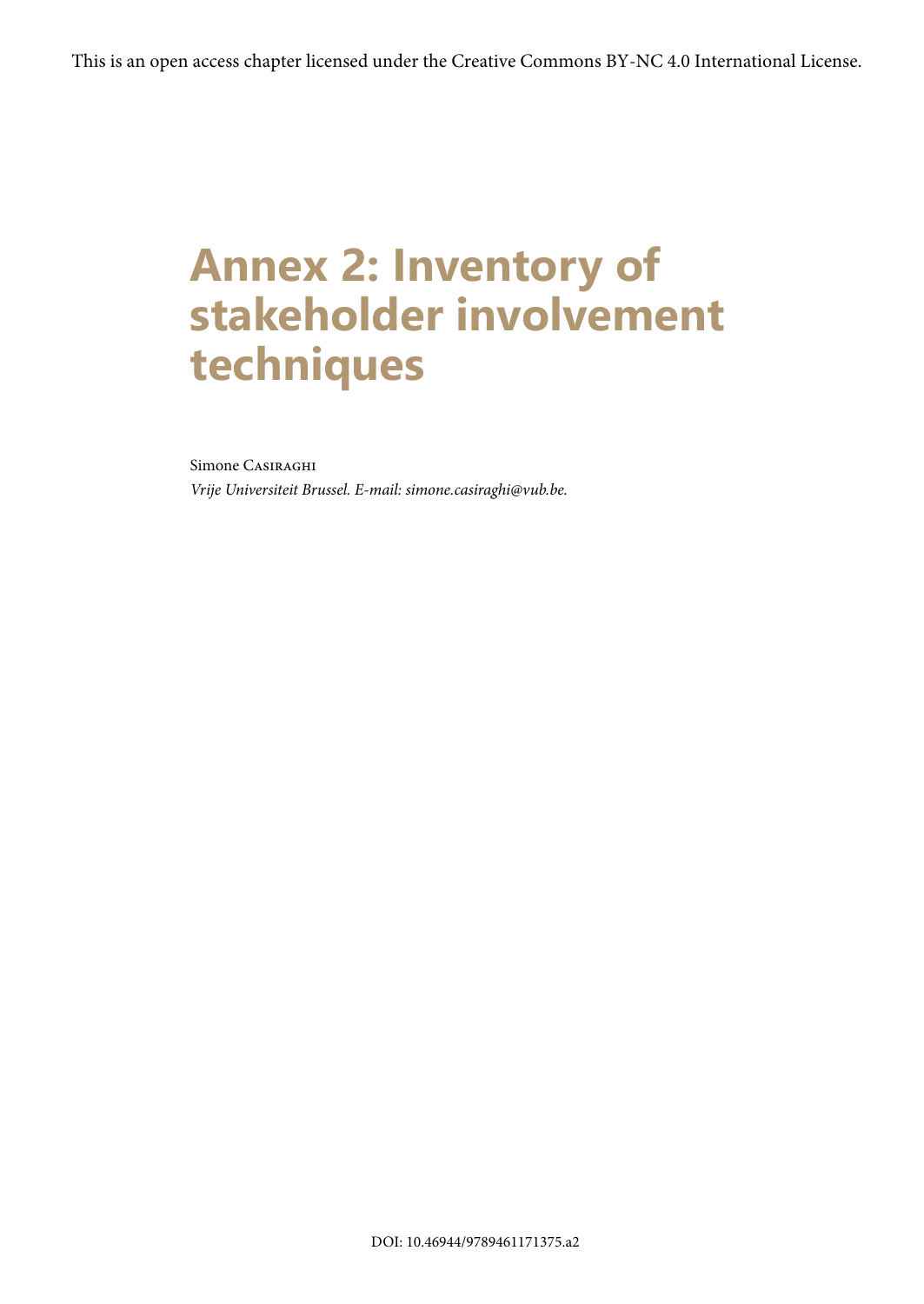## **Annex 2: Inventory of stakeholder involvement techniques**

## Simone Casiraghi

*Vrije Universiteit Brussel. E-mail: simone.casiraghi@vub.be.*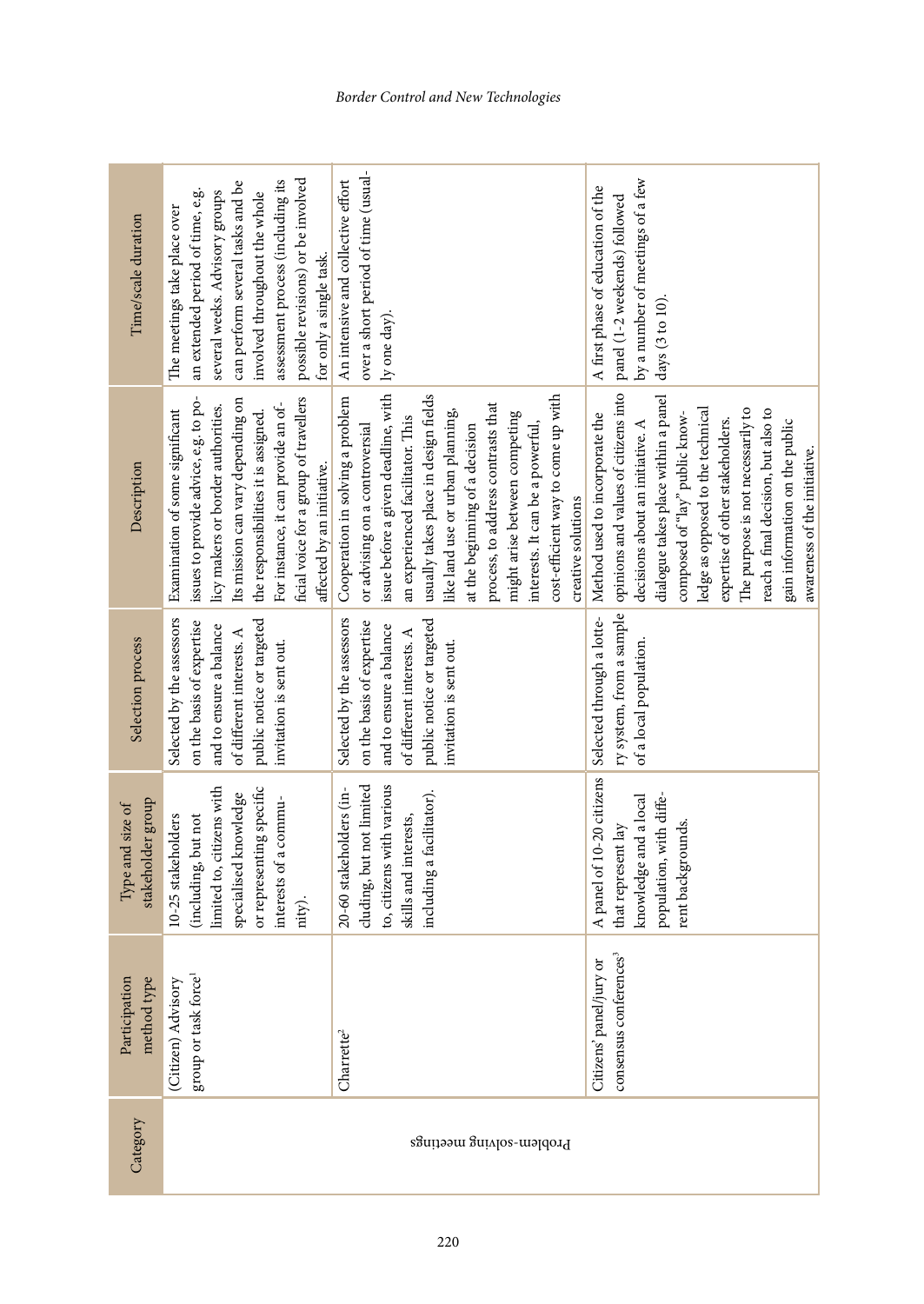| Time/scale duration                   | possible revisions) or be involved<br>assessment process (including its<br>can perform several tasks and be<br>several weeks. Advisory groups<br>an extended period of time, e.g.<br>involved throughout the whole<br>The meetings take place over<br>for only a single task.                              | over a short period of time (usual-<br>An intensive and collective effort<br>ly one day).                                                                                                                                                                                                                                                                                                                                          | by a number of meetings of a few<br>A first phase of education of the<br>panel (1-2 weekends) followed<br>days $(3 to 10)$ .                                                                                                                                                                                                                                                                               |
|---------------------------------------|------------------------------------------------------------------------------------------------------------------------------------------------------------------------------------------------------------------------------------------------------------------------------------------------------------|------------------------------------------------------------------------------------------------------------------------------------------------------------------------------------------------------------------------------------------------------------------------------------------------------------------------------------------------------------------------------------------------------------------------------------|------------------------------------------------------------------------------------------------------------------------------------------------------------------------------------------------------------------------------------------------------------------------------------------------------------------------------------------------------------------------------------------------------------|
| Description                           | ficial voice for a group of travellers<br>issues to provide advice, e.g. to po-<br>Its mission can vary depending on<br>For instance, it can provide an of-<br>licy makers or border authorities.<br>Examination of some significant<br>the responsibilities it is assigned.<br>affected by an initiative. | issue before a given deadline, with<br>usually takes place in design fields<br>cost-efficient way to come up with<br>Cooperation in solving a problem<br>process, to address contrasts that<br>like land use or urban planning,<br>might arise between competing<br>an experienced facilitator. This<br>or advising on a controversial<br>interests. It can be a powerful,<br>at the beginning of a decision<br>creative solutions | opinions and values of citizens into<br>dialogue takes place within a panel<br>ledge as opposed to the technical<br>The purpose is not necessarily to<br>reach a final decision, but also to<br>Method used to incorporate the<br>composed of "lay" public know-<br>expertise of other stakeholders.<br>gain information on the public<br>decisions about an initiative. A<br>awareness of the initiative. |
| Selection process                     | Selected by the assessors<br>on the basis of expertise<br>public notice or targeted<br>and to ensure a balance<br>of different interests. A<br>invitation is sent out.                                                                                                                                     | Selected by the assessors<br>on the basis of expertise<br>public notice or targeted<br>and to ensure a balance<br>of different interests. A<br>invitation is sent out.                                                                                                                                                                                                                                                             | ry system, from a sample<br>Selected through a lotte-<br>of a local population.                                                                                                                                                                                                                                                                                                                            |
| stakeholder group<br>Type and size of | limited to, citizens with<br>or representing specific<br>specialised knowledge<br>interests of a commu-<br>(including, but not<br>10-25 stakeholders<br>nity).                                                                                                                                             | to, citizens with various<br>cluding, but not limited<br>20-60 stakeholders (in-<br>including a facilitator).<br>skills and interests,                                                                                                                                                                                                                                                                                             | A panel of 10-20 citizens<br>population, with diffe-<br>knowledge and a local<br>rent backgrounds.<br>that represent lay                                                                                                                                                                                                                                                                                   |
| Participation<br>method type          | group or task force <sup>1</sup><br>(Citizen) Advisory                                                                                                                                                                                                                                                     | Charrette <sup>2</sup>                                                                                                                                                                                                                                                                                                                                                                                                             | consensus conferences <sup>3</sup><br>Citizens' panel/jury or                                                                                                                                                                                                                                                                                                                                              |
| Category                              | Problem-solving meetings                                                                                                                                                                                                                                                                                   |                                                                                                                                                                                                                                                                                                                                                                                                                                    |                                                                                                                                                                                                                                                                                                                                                                                                            |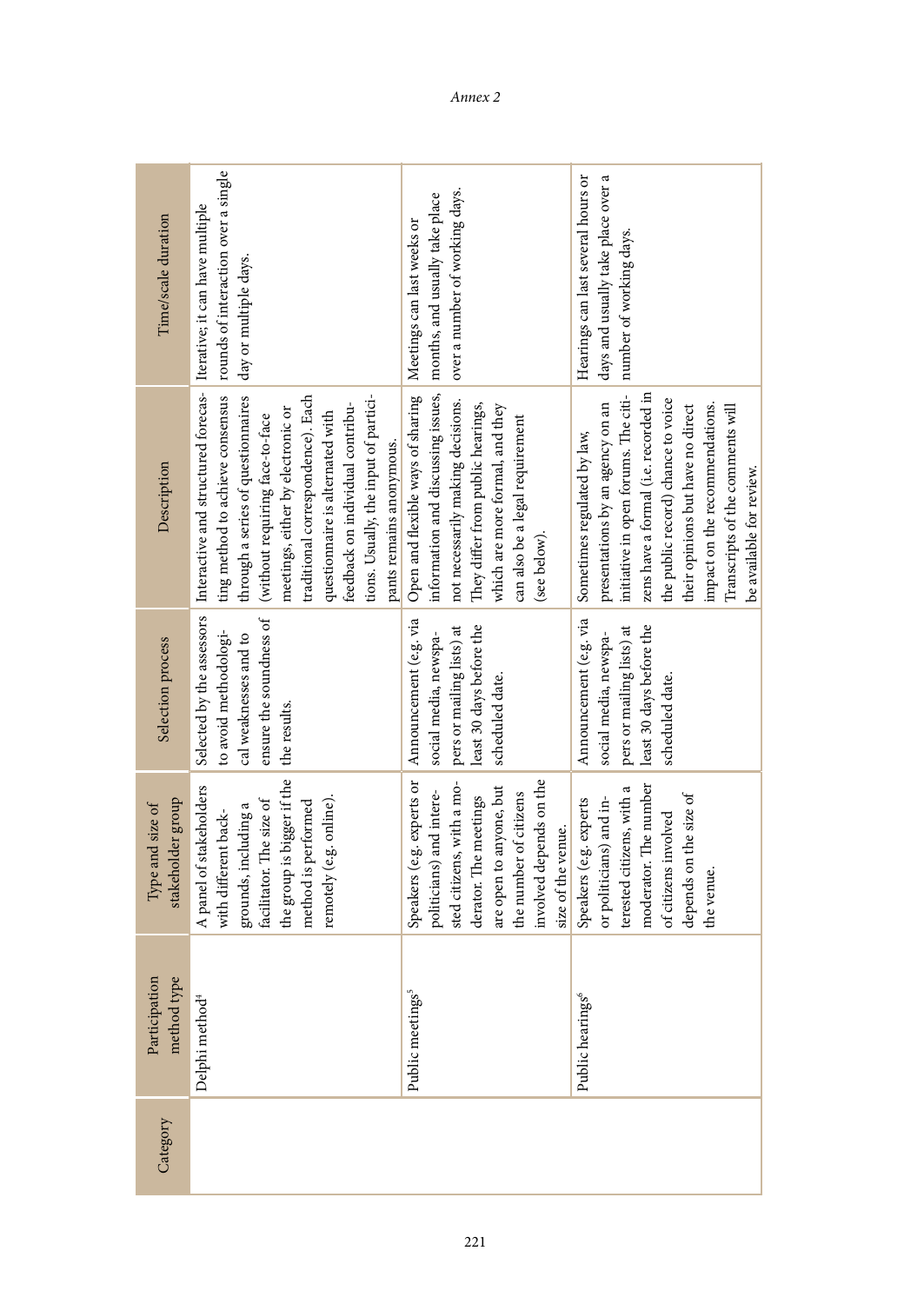| Time/scale duration                   | rounds of interaction over a single<br>day or multiple days.                                                                                                                                                                                                                                                                                                                                                                          | over a number of working days.                                                                                                                                                                                                                                                                    | days and usually take place over a<br>Hearings can last several hours or<br>number of working days.                                                                                                                                                                                                                          |
|---------------------------------------|---------------------------------------------------------------------------------------------------------------------------------------------------------------------------------------------------------------------------------------------------------------------------------------------------------------------------------------------------------------------------------------------------------------------------------------|---------------------------------------------------------------------------------------------------------------------------------------------------------------------------------------------------------------------------------------------------------------------------------------------------|------------------------------------------------------------------------------------------------------------------------------------------------------------------------------------------------------------------------------------------------------------------------------------------------------------------------------|
| Description                           | Selected by the assessors   Interactive and structured forecas-   Iterative; it can have multiple<br>ting method to achieve consensus<br>through a series of questionnaires<br>tions. Usually, the input of partici-<br>traditional correspondence). Each<br>feedback on individual contribu-<br>meetings, either by electronic or<br>questionnaire is alternated with<br>(without requiring face-to-face<br>pants remains anonymous. | information and discussing issues, months, and usually take place<br>Open and flexible ways of sharing Neetings can last weeks or<br>not necessarily making decisions.<br>They differ from public hearings,<br>which are more formal, and they<br>can also be a legal requirement<br>(see below). | initiative in open forums. The citi-<br>zens have a formal (i.e. recorded in<br>the public record) chance to voice<br>presentations by an agency on an<br>impact on the recommendations.<br>their opinions but have no direct<br>Transcripts of the comments will<br>Sometimes regulated by law,<br>be available for review. |
| Selection process                     | ensure the soundness of<br>to avoid methodologi-<br>cal weaknesses and to<br>the results.                                                                                                                                                                                                                                                                                                                                             | Announcement (e.g. via<br>least 30 days before the<br>pers or mailing lists) at<br>social media, newspa-<br>scheduled date.                                                                                                                                                                       | Announcement (e.g. via<br>least 30 days before the<br>pers or mailing lists) at<br>social media, newspa-<br>scheduled date.                                                                                                                                                                                                  |
| stakeholder group<br>Type and size of | the group is bigger if the<br>A panel of stakeholders<br>remotely (e.g. online).<br>facilitator. The size of<br>method is performed<br>grounds, including a<br>with different back-                                                                                                                                                                                                                                                   | Speakers (e.g. experts or<br>sted citizens, with a mo-<br>involved depends on the<br>are open to anyone, but<br>politicians) and intere-<br>the number of citizens<br>derator. The meetings<br>size of the venue.                                                                                 | moderator. The number<br>terested citizens, with a<br>depends on the size of<br>Speakers (e.g. experts<br>or politicians) and in-<br>of citizens involved<br>the venue.                                                                                                                                                      |
| Participation<br>method type          | Delphi method <sup>4</sup>                                                                                                                                                                                                                                                                                                                                                                                                            | Public meetings <sup>5</sup>                                                                                                                                                                                                                                                                      | Public hearings <sup>6</sup>                                                                                                                                                                                                                                                                                                 |
| Category                              |                                                                                                                                                                                                                                                                                                                                                                                                                                       |                                                                                                                                                                                                                                                                                                   |                                                                                                                                                                                                                                                                                                                              |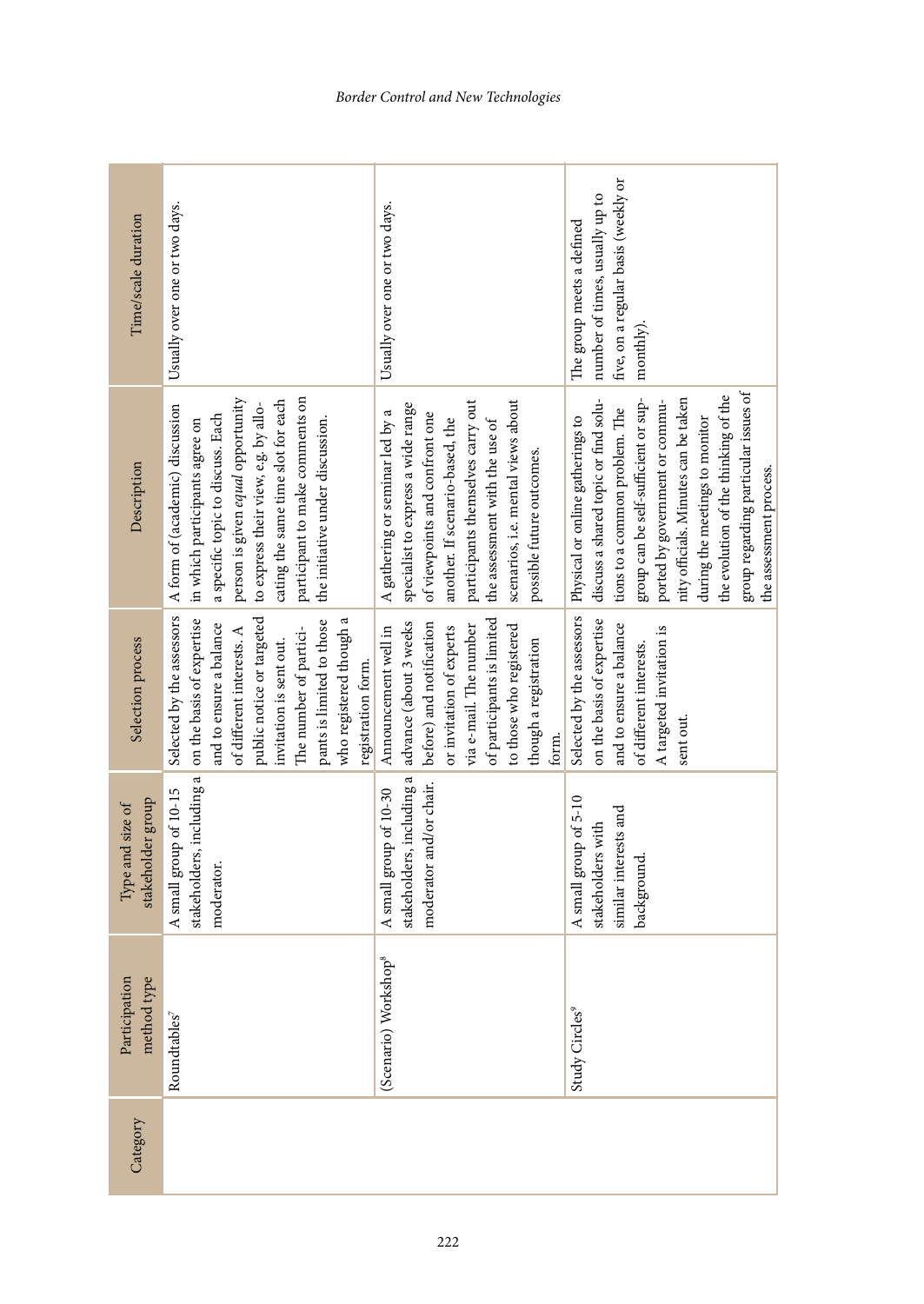| Time/scale duration                   | Usually over one or two days.                                                                                                                                                                                                                                                                    | Usually over one or two days.                                                                                                                                                                                                                                                        | five, on a regular basis (weekly or<br>number of times, usually up to<br>The group meets a defined<br>monthly)                                                                                                                                                                                                                                                                                        |
|---------------------------------------|--------------------------------------------------------------------------------------------------------------------------------------------------------------------------------------------------------------------------------------------------------------------------------------------------|--------------------------------------------------------------------------------------------------------------------------------------------------------------------------------------------------------------------------------------------------------------------------------------|-------------------------------------------------------------------------------------------------------------------------------------------------------------------------------------------------------------------------------------------------------------------------------------------------------------------------------------------------------------------------------------------------------|
| Description                           | participant to make comments on<br>person is given equal opportunity<br>cating the same time slot for each<br>to express their view, e.g. by allo-<br>A form of (academic) discussion<br>a specific topic to discuss. Each<br>the initiative under discussion.<br>in which participants agree on | participants themselves carry out<br>scenarios, i.e. mental views about<br>specialist to express a wide range<br>A gathering or seminar led by a<br>of viewpoints and confront one<br>the assessment with the use of<br>another. If scenario-based, the<br>possible future outcomes. | group regarding particular issues of<br>the evolution of the thinking of the<br>nity officials. Minutes can be taken<br>group can be self-sufficient or sup-<br>discuss a shared topic or find solu-<br>ported by government or commu-<br>tions to a common problem. The<br>Selected by the assessors   Physical or online gatherings to<br>during the meetings to monitor<br>the assessment process. |
| Selection process                     | Selected by the assessors<br>on the basis of expertise<br>public notice or targeted<br>pants is limited to those<br>who registered though a<br>and to ensure a balance<br>The number of partici-<br>of different interests. A<br>invitation is sent out.<br>registration form.                   | of participants is limited<br>advance (about 3 weeks<br>before) and notification<br>to those who registered<br>via e-mail. The number<br>or invitation of experts<br>Announcement well in<br>though a registration<br>form.                                                          | on the basis of expertise<br>and to ensure a balance<br>A targeted invitation is<br>of different interests.<br>sent out.                                                                                                                                                                                                                                                                              |
| stakeholder group<br>Type and size of | stakeholders, including a<br>A small group of 10-15<br>moderator.                                                                                                                                                                                                                                | stakeholders, including a<br>moderator and/or chair.<br>A small group of 10-30                                                                                                                                                                                                       | A small group of 5-10<br>similar interests and<br>stakeholders with<br>background.                                                                                                                                                                                                                                                                                                                    |
| Participation<br>method type          | Roundtables <sup>7</sup>                                                                                                                                                                                                                                                                         | Workshop <sup>8</sup><br>(Scenario)                                                                                                                                                                                                                                                  | Study Circles <sup>9</sup>                                                                                                                                                                                                                                                                                                                                                                            |
| Category                              |                                                                                                                                                                                                                                                                                                  |                                                                                                                                                                                                                                                                                      |                                                                                                                                                                                                                                                                                                                                                                                                       |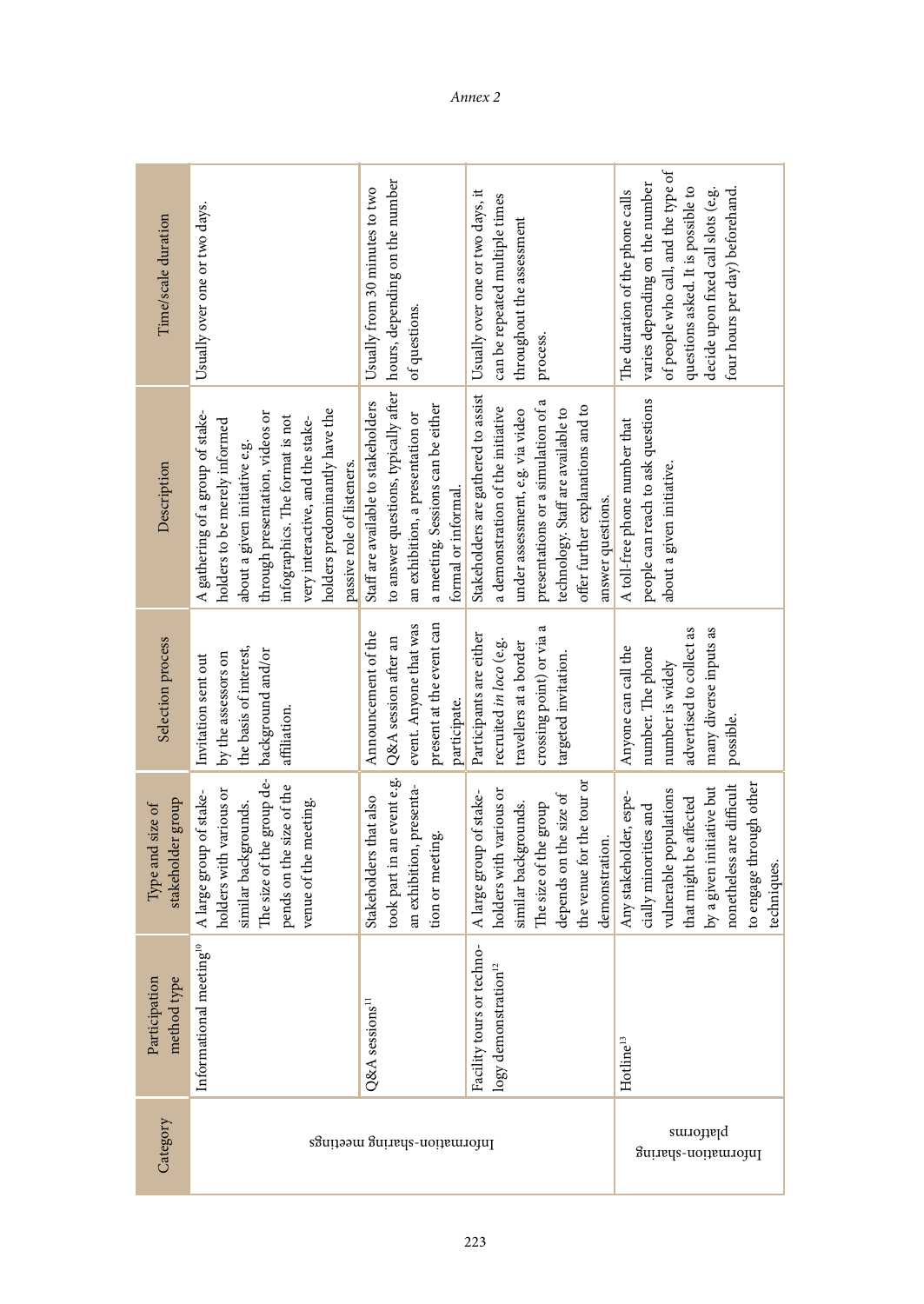| Time/scale duration                   | Usually over one or two days.                                                                                                                                                                                                                                                | hours, depending on the number<br>Usually from 30 minutes to two<br>of questions.                                                                                           | Usually over one or two days, it<br>can be repeated multiple times<br>throughout the assessment<br>process.                                                                                                                                        | of people who call, and the type of<br>varies depending on the number<br>questions asked. It is possible to<br>four hours per day) beforehand.<br>decide upon fixed call slots (e.g.<br>The duration of the phone calls |
|---------------------------------------|------------------------------------------------------------------------------------------------------------------------------------------------------------------------------------------------------------------------------------------------------------------------------|-----------------------------------------------------------------------------------------------------------------------------------------------------------------------------|----------------------------------------------------------------------------------------------------------------------------------------------------------------------------------------------------------------------------------------------------|-------------------------------------------------------------------------------------------------------------------------------------------------------------------------------------------------------------------------|
| Description                           | holders predominantly have the<br>A gathering of a group of stake-<br>through presentation, videos or<br>infographics. The format is not<br>very interactive, and the stake-<br>holders to be merely informed<br>about a given initiative e.g.<br>passive role of listeners. | to answer questions, typically after<br>Staff are available to stakeholders<br>a meeting. Sessions can be either<br>an exhibition, a presentation or<br>formal or informal. | Stakeholders are gathered to assist<br>presentations or a simulation of a<br>a demonstration of the initiative<br>offer further explanations and to<br>technology. Staff are available to<br>under assessment, e.g. via video<br>answer questions. | people can reach to ask questions<br>A toll-free phone number that<br>about a given initiative.                                                                                                                         |
| Selection process                     | the basis of interest,<br>background and/or<br>by the assessors on<br>Invitation sent out<br>affiliation.                                                                                                                                                                    | present at the event can<br>event. Anyone that was<br>Announcement of the<br>Q&A session after an<br>participate.                                                           | crossing point) or via a<br>Participants are either<br>recruited in loco (e.g.<br>travellers at a border<br>targeted invitation.                                                                                                                   | many diverse inputs as<br>advertised to collect as<br>Anyone can call the<br>number. The phone<br>number is widely<br>possible.                                                                                         |
| stakeholder group<br>Type and size of | The size of the group de-<br>pends on the size of the<br>holders with various or<br>A large group of stake-<br>venue of the meeting.<br>similar backgrounds.                                                                                                                 | took part in an event e.g.<br>an exhibition, presenta-<br>Stakeholders that also<br>tion or meeting.                                                                        | the venue for the tour or<br>holders with various or<br>A large group of stake-<br>depends on the size of<br>similar backgrounds.<br>The size of the group<br>demonstration.                                                                       | nonetheless are difficult<br>to engage through other<br>by a given initiative but<br>vulnerable populations<br>Any stakeholder, espe-<br>that might be affected<br>cially minorities and<br>techniques.                 |
| Participation<br>od type<br>metho     | Informational meeting <sup>10</sup>                                                                                                                                                                                                                                          | Q&A sessions <sup>11</sup>                                                                                                                                                  | rs or techno-<br>$logy$ demonstration <sup>12</sup><br>Facility tour                                                                                                                                                                               | Hotline <sup>13</sup>                                                                                                                                                                                                   |
| Category                              | Information-sharing meetings                                                                                                                                                                                                                                                 |                                                                                                                                                                             | platforms<br>Information-sharing                                                                                                                                                                                                                   |                                                                                                                                                                                                                         |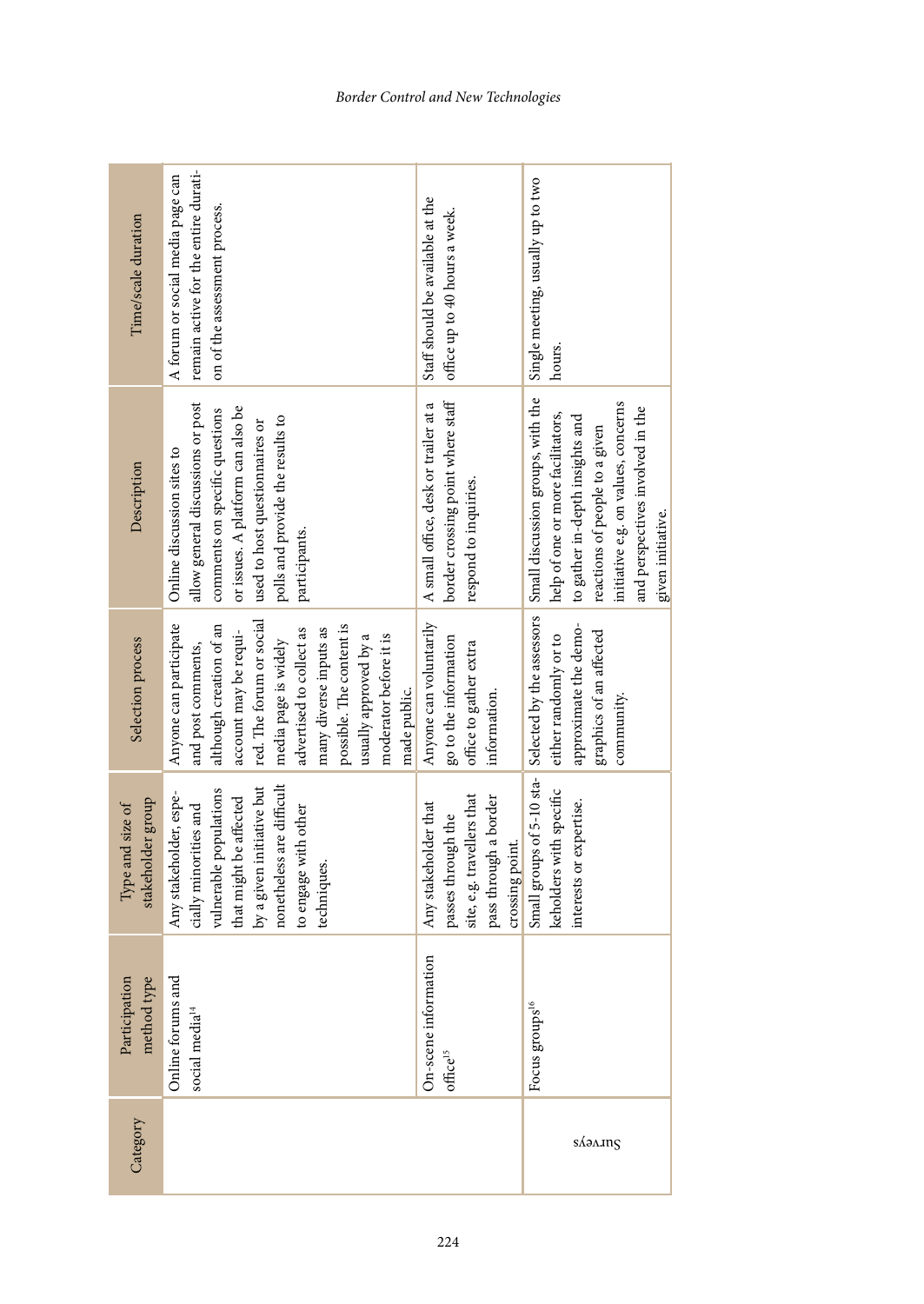| Time/scale duration                   | remain active for the entire durati-<br>A forum or social media page can<br>on of the assessment process.                                                                                                                                                                                                 | Staff should be available at the<br>office up to 40 hours a week.                                                    | Single meeting, usually up to two<br>hours.                                                                                                                                                                                                 |
|---------------------------------------|-----------------------------------------------------------------------------------------------------------------------------------------------------------------------------------------------------------------------------------------------------------------------------------------------------------|----------------------------------------------------------------------------------------------------------------------|---------------------------------------------------------------------------------------------------------------------------------------------------------------------------------------------------------------------------------------------|
| Description                           | allow general discussions or post<br>or issues. A platform can also be<br>comments on specific questions<br>polls and provide the results to<br>used to host questionnaires or<br>Online discussion sites to<br>participants.                                                                             | border crossing point where staff<br>A small office, desk or trailer at a<br>respond to inquiries.                   | Small discussion groups, with the<br>initiative e.g. on values, concerns<br>and perspectives involved in the<br>help of one or more facilitators,<br>to gather in-depth insights and<br>reactions of people to a given<br>given initiative. |
| Selection process                     | red. The forum or social<br>Anyone can participate<br>possible. The content is<br>although creation of an<br>advertised to collect as<br>many diverse inputs as<br>account may be requi-<br>moderator before it is<br>usually approved by a<br>media page is widely<br>and post comments,<br>made public. | Anyone can voluntarily<br>go to the information<br>office to gather extra<br>information.                            | Small groups of 5-10 sta- Selected by the assessors<br>approximate the demo-<br>graphics of an affected<br>either randomly or to<br>community.                                                                                              |
| stakeholder group<br>Type and size of | nonetheless are difficult<br>by a given initiative but<br>vulnerable populations<br>Any stakeholder, espe-<br>that might be affected<br>cially minorities and<br>to engage with other<br>techniques.                                                                                                      | pass through a border<br>site, e.g. travellers that<br>Any stakeholder that<br>passes through the<br>crossing point. | keholders with specific<br>interests or expertise.                                                                                                                                                                                          |
| method type<br>Participation          | Online forums and<br>social media <sup>14</sup>                                                                                                                                                                                                                                                           | On-scene information<br>office <sup>15</sup>                                                                         | Focus groups <sup>16</sup>                                                                                                                                                                                                                  |
| Category                              |                                                                                                                                                                                                                                                                                                           |                                                                                                                      | SAAAng                                                                                                                                                                                                                                      |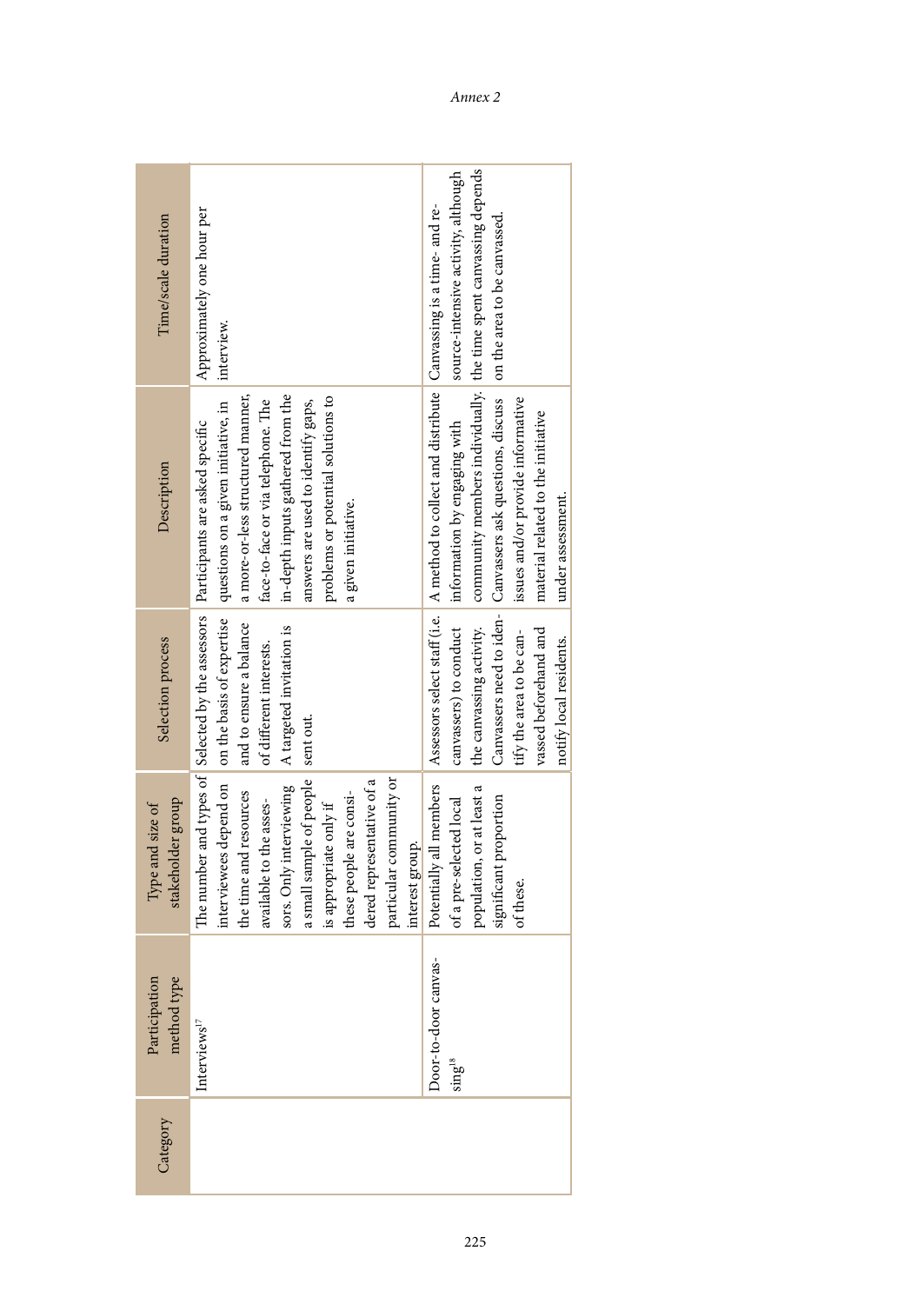| Time/scale duration                   | Approximately one hour per<br>interview.                                                                                                                                                                                                                                                                                                    | source-intensive activity, although<br>community members individually. the time spent canvassing depends                                                                                                                                                                                                                       |
|---------------------------------------|---------------------------------------------------------------------------------------------------------------------------------------------------------------------------------------------------------------------------------------------------------------------------------------------------------------------------------------------|--------------------------------------------------------------------------------------------------------------------------------------------------------------------------------------------------------------------------------------------------------------------------------------------------------------------------------|
| Description                           | a more-or-less structured manner,<br>in-depth inputs gathered from the<br>problems or potential solutions to<br>face-to-face or via telephone. The<br>questions on a given initiative, in<br>answers are used to identify gaps,<br>The number and types of Selected by the assessors Participants are asked specific<br>a given initiative. | Assessors select staff (i.e.   A method to collect and distribute   Canvassing is a time- and re-<br>Canvassers need to iden- Canvassers ask questions, discuss   on the area to be canvassed.<br>issues and/or provide informative<br>material related to the initiative<br>information by engaging with<br>under assessment. |
| Selection process                     | interviewees depend on on the basis of expertise<br>and to ensure a balance<br>A targeted invitation is<br>of different interests.<br>sent out.                                                                                                                                                                                             | the canvassing activity.<br>canvassers) to conduct<br>vassed beforehand and<br>tify the area to be can-<br>notify local residents.                                                                                                                                                                                             |
| stakeholder group<br>Type and size of | a small sample of people<br>sors. Only interviewing<br>particular community or<br>dered representative of a<br>the time and resources<br>these people are consi-<br>available to the asses-<br>is appropriate only if<br>interest group.                                                                                                    | Potentially all members<br>population, or at least a<br>of a pre-selected local<br>significant proportion<br>of these.                                                                                                                                                                                                         |
| icipation<br>method type<br>Parti     | Interviews $^{17}$                                                                                                                                                                                                                                                                                                                          | Joor-to-door canvas-<br>$\sin g^{18}$                                                                                                                                                                                                                                                                                          |
| Category                              |                                                                                                                                                                                                                                                                                                                                             |                                                                                                                                                                                                                                                                                                                                |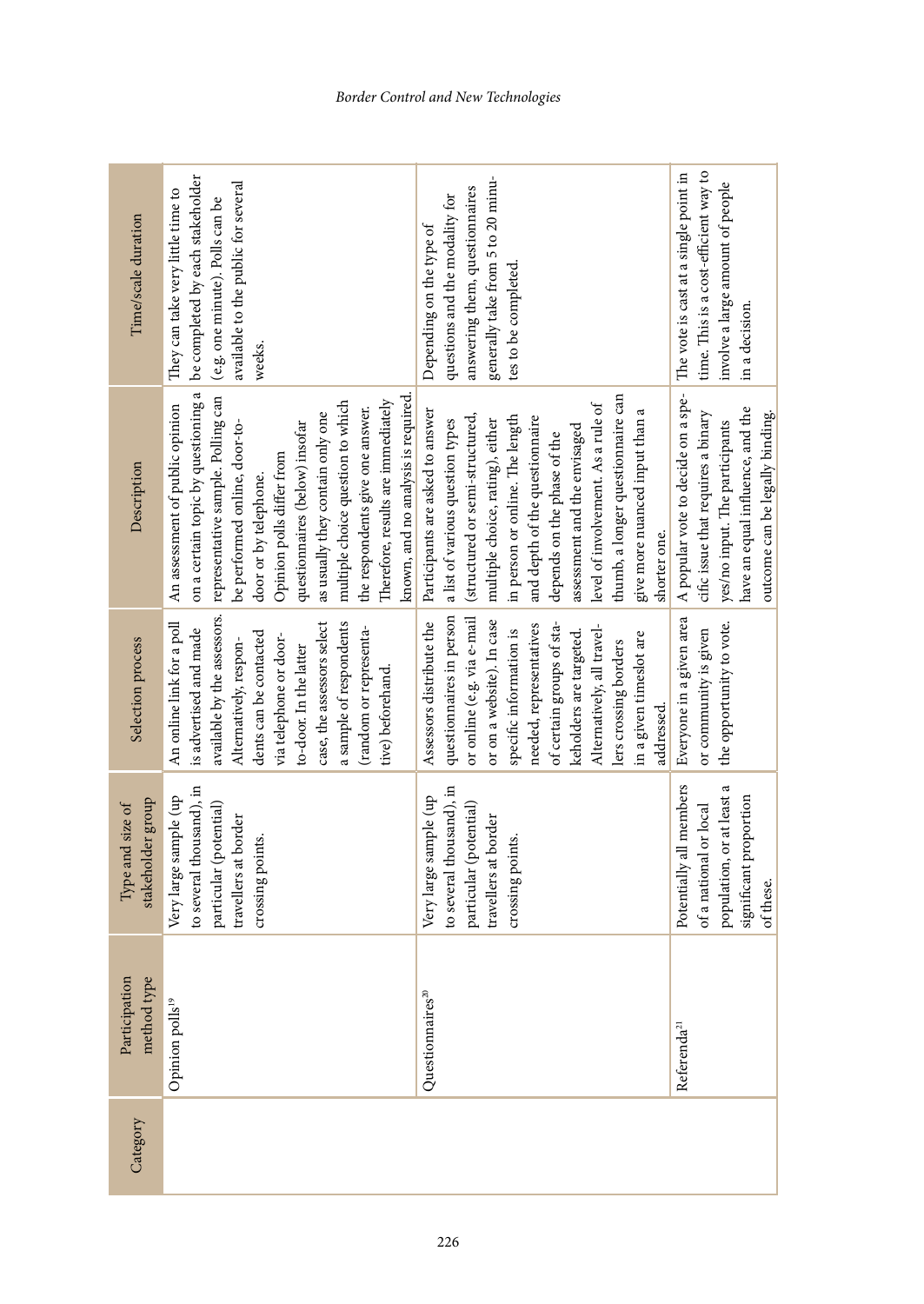| Time/scale duration                   | be completed by each stakeholder<br>available to the public for several<br>They can take very little time to<br>(e.g. one minute). Polls can be<br>weeks.                                                                                                                                                                                                                                                                                                  | generally take from 5 to 20 minu-<br>answering them, questionnaires<br>questions and the modality for<br>Depending on the type of<br>tes to be completed.                                                                                                                                                                                                                                                                               | time. This is a cost-efficient way to<br>The vote is cast at a single point in<br>involve a large amount of people<br>in a decision.                                              |
|---------------------------------------|------------------------------------------------------------------------------------------------------------------------------------------------------------------------------------------------------------------------------------------------------------------------------------------------------------------------------------------------------------------------------------------------------------------------------------------------------------|-----------------------------------------------------------------------------------------------------------------------------------------------------------------------------------------------------------------------------------------------------------------------------------------------------------------------------------------------------------------------------------------------------------------------------------------|-----------------------------------------------------------------------------------------------------------------------------------------------------------------------------------|
| Description                           | on a certain topic by questioning a<br>available by the assessors. representative sample. Polling can<br>known, and no analysis is required<br>Therefore, results are immediately<br>multiple choice question to which<br>An assessment of public opinion<br>the respondents give one answer.<br>as usually they contain only one<br>be performed online, door-to-<br>questionnaires (below) insofar<br>Opinion polls differ from<br>door or by telephone. | thumb, a longer questionnaire can<br>level of involvement. As a rule of<br>give more nuanced input than a<br>Participants are asked to answer<br>or online (e.g. via e-mail (structured or semi-structured,<br>in person or online. The length<br>and depth of the questionnaire<br>multiple choice, rating), either<br>a list of various question types<br>assessment and the envisaged<br>depends on the phase of the<br>shorter one. | A popular vote to decide on a spe-<br>have an equal influence, and the<br>cific issue that requires a binary<br>outcome can be legally binding.<br>yes/no input. The participants |
| Selection process                     | An online link for a poll<br>a sample of respondents<br>case, the assessors select<br>(random or representa-<br>is advertised and made<br>dents can be contacted<br>via telephone or door-<br>Alternatively, respon-<br>to-door. In the latter<br>tive) beforehand.                                                                                                                                                                                        | questionnaires in person<br>Assessors distribute the<br>or on a website). In case<br>of certain groups of sta-<br>Alternatively, all travel-<br>needed, representatives<br>specific information is<br>keholders are targeted.<br>in a given timeslot are<br>lers crossing borders<br>addressed.                                                                                                                                         | Everyone in a given area<br>the opportunity to vote.<br>or community is given                                                                                                     |
| stakeholder group<br>Type and size of | to several thousand), in<br>Very large sample (up<br>particular (potential)<br>travellers at border<br>crossing points.                                                                                                                                                                                                                                                                                                                                    | to several thousand), in<br>Very large sample (up<br>particular (potential)<br>travellers at border<br>crossing points.                                                                                                                                                                                                                                                                                                                 | Potentially all members<br>population, or at least a<br>significant proportion<br>of a national or local<br>of these.                                                             |
| Participation<br>method type          | Opinion polls <sup>19</sup>                                                                                                                                                                                                                                                                                                                                                                                                                                | Questionnaires <sup>20</sup>                                                                                                                                                                                                                                                                                                                                                                                                            | Referenda <sup>21</sup>                                                                                                                                                           |
| Category                              |                                                                                                                                                                                                                                                                                                                                                                                                                                                            |                                                                                                                                                                                                                                                                                                                                                                                                                                         |                                                                                                                                                                                   |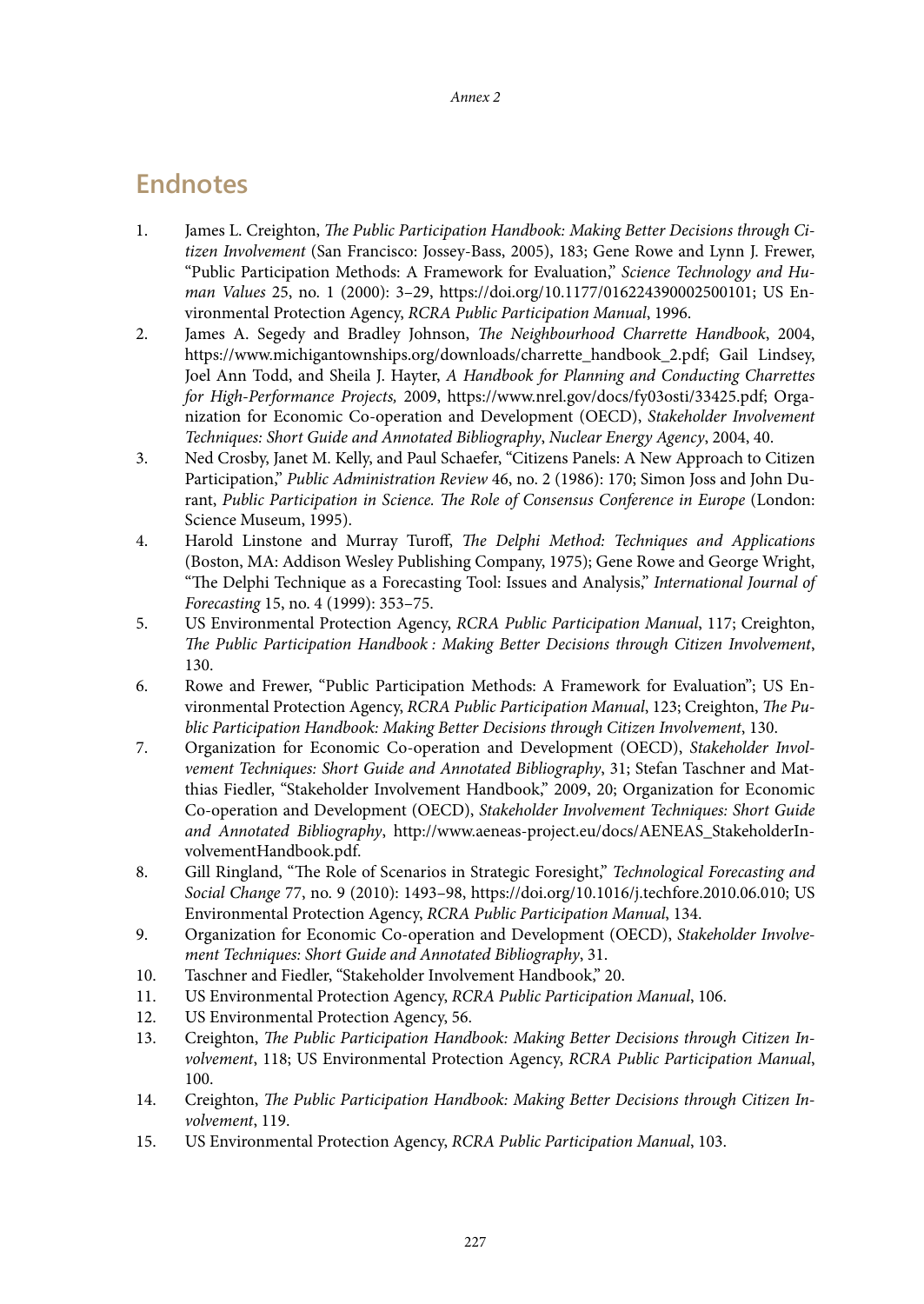## **Endnotes**

- 1. James L. Creighton, *The Public Participation Handbook: Making Better Decisions through Citizen Involvement* (San Francisco: Jossey-Bass, 2005), 183; Gene Rowe and Lynn J. Frewer, "Public Participation Methods: A Framework for Evaluation," *Science Technology and Human Values* 25, no. 1 (2000): 3–29, [https://doi.org/10.1177/016224390002500101;](https://doi.org/10.1177/016224390002500101) US Environmental Protection Agency, *RCRA Public Participation Manual*, 1996.
- 2. James A. Segedy and Bradley Johnson, *The Neighbourhood Charrette Handbook*, 2004, [https://www.michigantownships.org/downloads/charrette\\_handbook\\_2.pdf](https://www.michigantownships.org/downloads/charrette_handbook_2.pdf); Gail Lindsey, Joel Ann Todd, and Sheila J. Hayter, *A Handbook for Planning and Conducting Charrettes for High-Performance Projects,* 2009, <https://www.nrel.gov/docs/fy03osti/33425.pdf>; Organization for Economic Co-operation and Development (OECD), *Stakeholder Involvement Techniques: Short Guide and Annotated Bibliography*, *Nuclear Energy Agency*, 2004, 40.
- 3. Ned Crosby, Janet M. Kelly, and Paul Schaefer, "Citizens Panels: A New Approach to Citizen Participation," *Public Administration Review* 46, no. 2 (1986): 170; Simon Joss and John Durant, *Public Participation in Science. The Role of Consensus Conference in Europe* (London: Science Museum, 1995).
- 4. Harold Linstone and Murray Turoff, *The Delphi Method: Techniques and Applications* (Boston, MA: Addison Wesley Publishing Company, 1975); Gene Rowe and George Wright, "The Delphi Technique as a Forecasting Tool: Issues and Analysis," *International Journal of Forecasting* 15, no. 4 (1999): 353–75.
- 5. US Environmental Protection Agency, *RCRA Public Participation Manual*, 117; Creighton, *The Public Participation Handbook : Making Better Decisions through Citizen Involvement*, 130.
- 6. Rowe and Frewer, "Public Participation Methods: A Framework for Evaluation"; US Environmental Protection Agency, *RCRA Public Participation Manual*, 123; Creighton, *The Public Participation Handbook: Making Better Decisions through Citizen Involvement*, 130.
- 7. Organization for Economic Co-operation and Development (OECD), *Stakeholder Involvement Techniques: Short Guide and Annotated Bibliography*, 31; Stefan Taschner and Matthias Fiedler, "Stakeholder Involvement Handbook," 2009, 20; Organization for Economic Co-operation and Development (OECD), *Stakeholder Involvement Techniques: Short Guide and Annotated Bibliography*, [http://www.aeneas-project.eu/docs/AENEAS\\_StakeholderIn](http://www.aeneas-project.eu/docs/AENEAS_StakeholderInvolvementHandbook.pdf)[volvementHandbook.pdf](http://www.aeneas-project.eu/docs/AENEAS_StakeholderInvolvementHandbook.pdf).
- 8. Gill Ringland, "The Role of Scenarios in Strategic Foresight," *Technological Forecasting and Social Change* 77, no. 9 (2010): 1493–98, [https://doi.org/10.1016/j.techfore.2010.06.010;](https://doi.org/10.1016/j.techfore.2010.06.010) US Environmental Protection Agency, *RCRA Public Participation Manual*, 134.
- 9. Organization for Economic Co-operation and Development (OECD), *Stakeholder Involvement Techniques: Short Guide and Annotated Bibliography*, 31.
- 10. Taschner and Fiedler, "Stakeholder Involvement Handbook," 20.
- 11. US Environmental Protection Agency, *RCRA Public Participation Manual*, 106.
- 12. US Environmental Protection Agency, 56.
- 13. Creighton, *The Public Participation Handbook: Making Better Decisions through Citizen Involvement*, 118; US Environmental Protection Agency, *RCRA Public Participation Manual*, 100.
- 14. Creighton, *The Public Participation Handbook: Making Better Decisions through Citizen Involvement*, 119.
- 15. US Environmental Protection Agency, *RCRA Public Participation Manual*, 103.